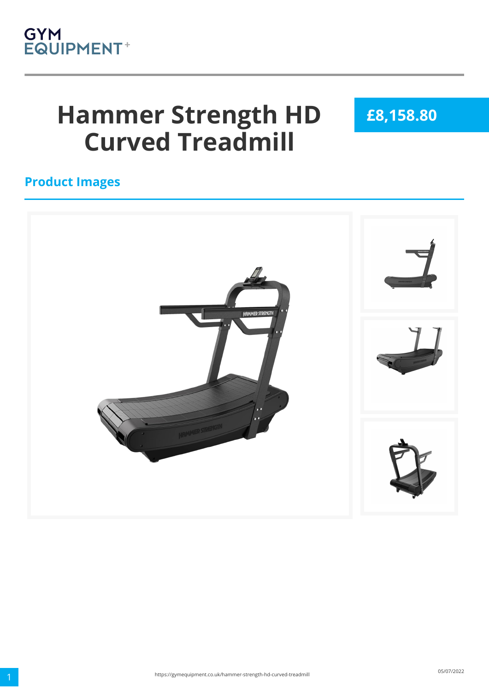

# **Hammer Strength HD Curved Treadmill**

**£8,158.80**

#### **Product Images**

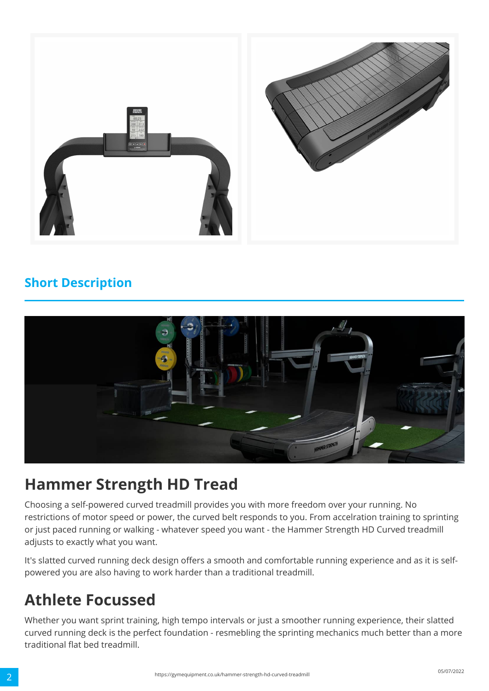

#### **Short Description**



### **Hammer Strength HD Tread**

Choosing a self-powered curved treadmill provides you with more freedom over your running. No restrictions of motor speed or power, the curved belt responds to you. From accelration training to sprinting or just paced running or walking - whatever speed you want - the Hammer Strength HD Curved treadmill adjusts to exactly what you want.

It's slatted curved running deck design offers a smooth and comfortable running experience and as it is selfpowered you are also having to work harder than a traditional treadmill.

## **Athlete Focussed**

Whether you want sprint training, high tempo intervals or just a smoother running experience, their slatted curved running deck is the perfect foundation - resmebling the sprinting mechanics much better than a more traditional flat bed treadmill.